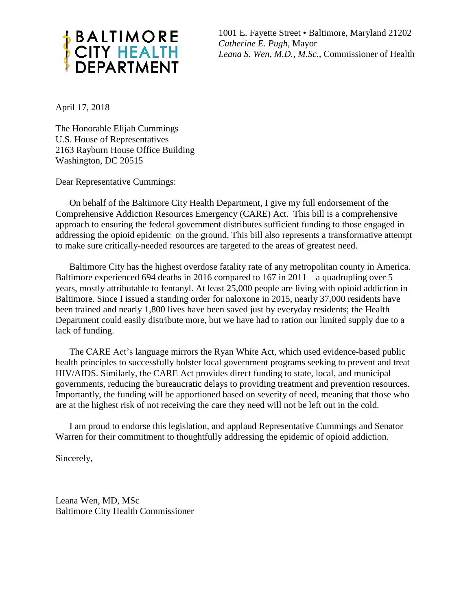

1001 E. Fayette Street • Baltimore, Maryland 21202 *Catherine E. Pugh,* Mayor *Leana S. Wen, M.D., M.Sc.,* Commissioner of Health

April 17, 2018

The Honorable Elijah Cummings U.S. House of Representatives 2163 Rayburn House Office Building Washington, DC 20515

Dear Representative Cummings:

On behalf of the Baltimore City Health Department, I give my full endorsement of the Comprehensive Addiction Resources Emergency (CARE) Act. This bill is a comprehensive approach to ensuring the federal government distributes sufficient funding to those engaged in addressing the opioid epidemic on the ground. This bill also represents a transformative attempt to make sure critically-needed resources are targeted to the areas of greatest need.

Baltimore City has the highest overdose fatality rate of any metropolitan county in America. Baltimore experienced 694 deaths in 2016 compared to 167 in 2011 – a quadrupling over 5 years, mostly attributable to fentanyl. At least 25,000 people are living with opioid addiction in Baltimore. Since I issued a standing order for naloxone in 2015, nearly 37,000 residents have been trained and nearly 1,800 lives have been saved just by everyday residents; the Health Department could easily distribute more, but we have had to ration our limited supply due to a lack of funding.

The CARE Act's language mirrors the Ryan White Act, which used evidence-based public health principles to successfully bolster local government programs seeking to prevent and treat HIV/AIDS. Similarly, the CARE Act provides direct funding to state, local, and municipal governments, reducing the bureaucratic delays to providing treatment and prevention resources. Importantly, the funding will be apportioned based on severity of need, meaning that those who are at the highest risk of not receiving the care they need will not be left out in the cold.

I am proud to endorse this legislation, and applaud Representative Cummings and Senator Warren for their commitment to thoughtfully addressing the epidemic of opioid addiction.

Sincerely,

Leana Wen, MD, MSc Baltimore City Health Commissioner